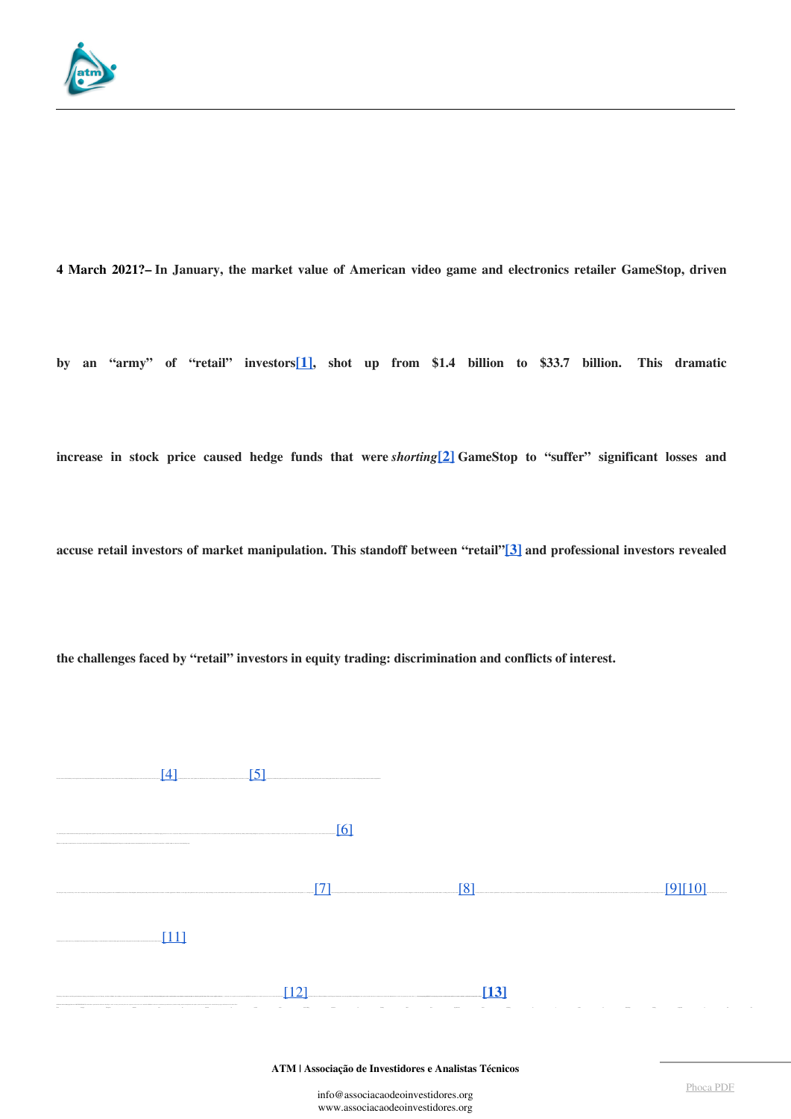

**4 March 2021?– In January, the market value of American video game and electronics retailer GameStop, driven**

**by an "army" of "retail" investors[\[1\]](https://mail.google.com/mail/u/0/#m_-7346696347220786477__ftn1), shot up from \$1.4 billion to \$33.7 billion. This dramatic**

**increase in stock price caused hedge funds that were** *shorting***[\[2\]](https://mail.google.com/mail/u/0/#m_-7346696347220786477__ftn2) GameStop to "suffer" significant losses and**

**accuse retail investors of market manipulation. This standoff between "retail"[\[3\]](https://mail.google.com/mail/u/0/#m_-7346696347220786477__ftn3) and professional investors revealed**

**the challenges faced by "retail" investors in equity trading: discrimination and conflicts of interest.**



**[ATM | Associação de Investidores e Analistas Técnicos](https://mail.google.com/mail/u/0/#m_-7346696347220786477__ftn14)**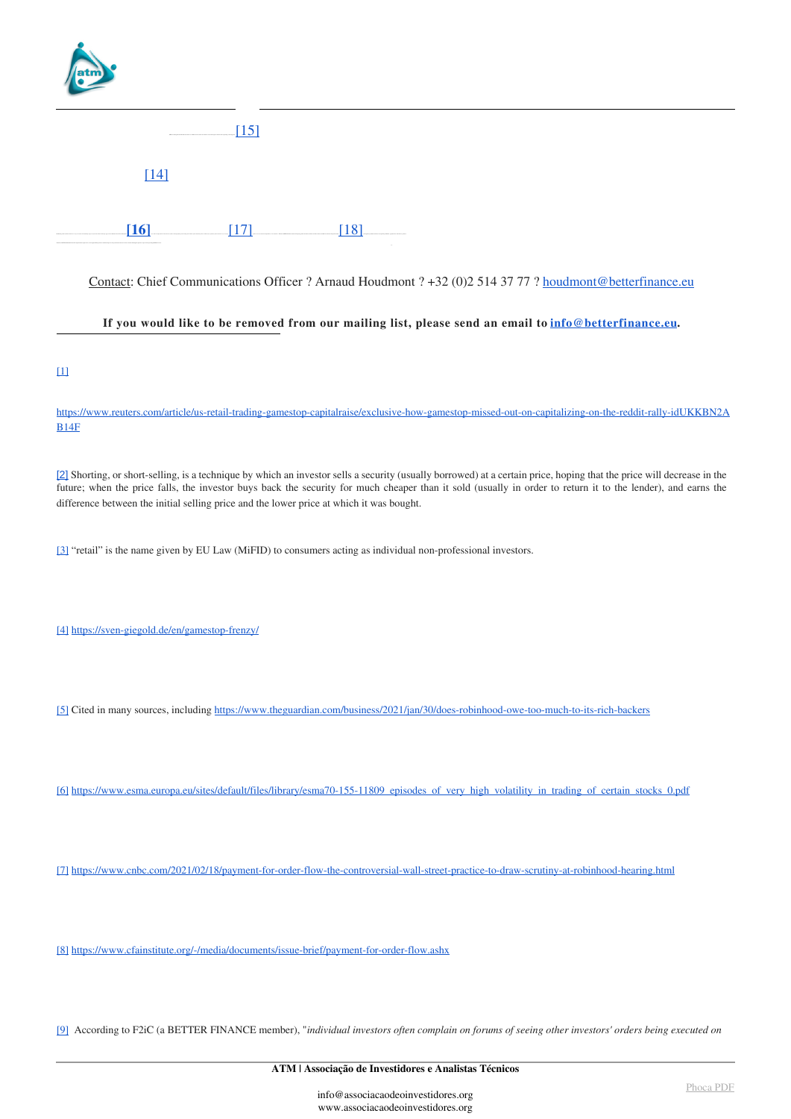| atm |        |              |                                          |
|-----|--------|--------------|------------------------------------------|
|     |        | $\boxed{15}$ |                                          |
|     | $[14]$ |              |                                          |
|     | $[16]$ | 171          | $[18]$<br>the 'powering also find you're |

Contact: Chief Communications Officer ? Arnaud Houdmont ? +32 (0)2 514 37 77 ? [houdmont@betterfinance.eu](mailto:houdmont@betterfinance.eu)

**If you would like to be removed from our mailing list, please send an email to [info@betterfinance.eu.](mailto:info@betterfinance.eu)**

 $\mathbf{m}$ 

[https://www.reuters.com/article/us-retail-trading-gamestop-capitalraise/exclusive-how-gamestop-missed-out-on-capitalizing-on-the-reddit-rally-idUKKBN2A](https://www.reuters.com/article/us-retail-trading-gamestop-capitalraise/exclusive-how-gamestop-missed-out-on-capitalizing-on-the-reddit-rally-idUKKBN2AB14F) [B14F](https://www.reuters.com/article/us-retail-trading-gamestop-capitalraise/exclusive-how-gamestop-missed-out-on-capitalizing-on-the-reddit-rally-idUKKBN2AB14F)

[\[2\]](https://mail.google.com/mail/u/0/#m_-7346696347220786477__ftnref2) Shorting, or short-selling, is a technique by which an investor sells a security (usually borrowed) at a certain price, hoping that the price will decrease in the future; when the price falls, the investor buys back the security for much cheaper than it sold (usually in order to return it to the lender), and earns the difference between the initial selling price and the lower price at which it was bought.

[\[3\]](https://mail.google.com/mail/u/0/#m_-7346696347220786477__ftnref3) "retail" is the name given by EU Law (MiFID) to consumers acting as individual non-professional investors.

[\[4\]](https://mail.google.com/mail/u/0/#m_-7346696347220786477__ftnref4) <https://sven-giegold.de/en/gamestop-frenzy/>

[\[5\]](https://mail.google.com/mail/u/0/#m_-7346696347220786477__ftnref5) Cited in many sources, including <https://www.theguardian.com/business/2021/jan/30/does-robinhood-owe-too-much-to-its-rich-backers>

[\[6\]](https://mail.google.com/mail/u/0/#m_-7346696347220786477__ftnref6) [https://www.esma.europa.eu/sites/default/files/library/esma70-155-11809\\_episodes\\_of\\_very\\_high\\_volatility\\_in\\_trading\\_of\\_certain\\_stocks\\_0.pdf](https://www.esma.europa.eu/sites/default/files/library/esma70-155-11809_episodes_of_very_high_volatility_in_trading_of_certain_stocks_0.pdf)

[\[7\]](https://mail.google.com/mail/u/0/#m_-7346696347220786477__ftnref7) <https://www.cnbc.com/2021/02/18/payment-for-order-flow-the-controversial-wall-street-practice-to-draw-scrutiny-at-robinhood-hearing.html>

[\[8\]](https://mail.google.com/mail/u/0/#m_-7346696347220786477__ftnref8) <https://www.cfainstitute.org/-/media/documents/issue-brief/payment-for-order-flow.ashx>

[\[9\]](https://mail.google.com/mail/u/0/#m_-7346696347220786477__ftnref9)  According to F2iC (a BETTER FINANCE member), "*individual investors often complain on forums of seeing other investors' orders being executed on*